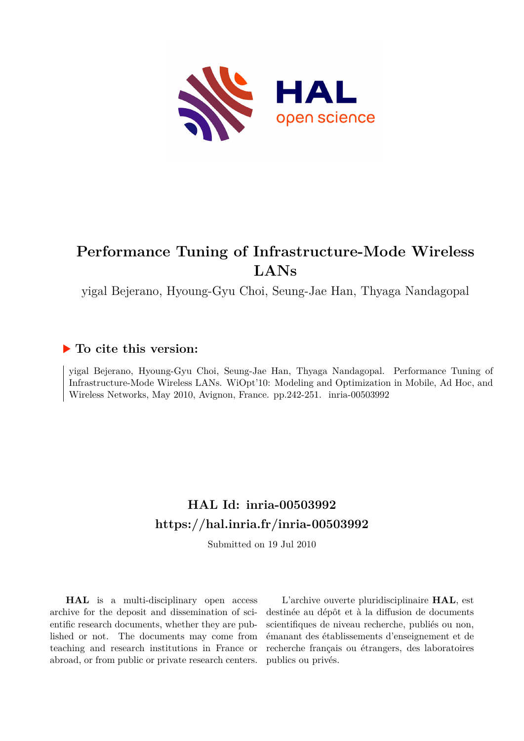

## **Performance Tuning of Infrastructure-Mode Wireless LANs**

yigal Bejerano, Hyoung-Gyu Choi, Seung-Jae Han, Thyaga Nandagopal

### **To cite this version:**

yigal Bejerano, Hyoung-Gyu Choi, Seung-Jae Han, Thyaga Nandagopal. Performance Tuning of Infrastructure-Mode Wireless LANs. WiOpt'10: Modeling and Optimization in Mobile, Ad Hoc, and Wireless Networks, May 2010, Avignon, France. pp.242-251. inria-00503992

## **HAL Id: inria-00503992 <https://hal.inria.fr/inria-00503992>**

Submitted on 19 Jul 2010

**HAL** is a multi-disciplinary open access archive for the deposit and dissemination of scientific research documents, whether they are published or not. The documents may come from teaching and research institutions in France or abroad, or from public or private research centers.

L'archive ouverte pluridisciplinaire **HAL**, est destinée au dépôt et à la diffusion de documents scientifiques de niveau recherche, publiés ou non, émanant des établissements d'enseignement et de recherche français ou étrangers, des laboratoires publics ou privés.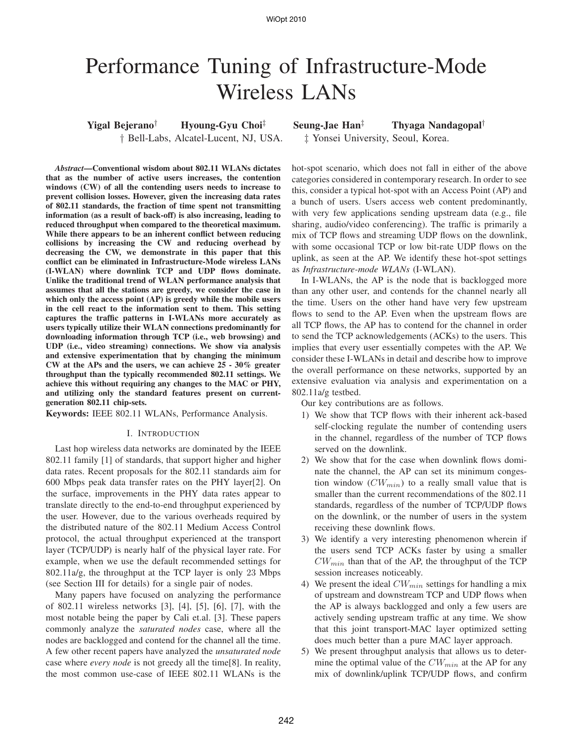# Performance Tuning of Infrastructure-Mode Wireless LANs

*Abstract***—Conventional wisdom about 802.11 WLANs dictates that as the number of active users increases, the contention windows (CW) of all the contending users needs to increase to prevent collision losses. However, given the increasing data rates of 802.11 standards, the fraction of time spent not transmitting information (as a result of back-off) is also increasing, leading to reduced throughput when compared to the theoretical maximum. While there appears to be an inherent conflict between reducing collisions by increasing the CW and reducing overhead by decreasing the CW, we demonstrate in this paper that this conflict can be eliminated in Infrastructure-Mode wireless LANs (I-WLAN) where downlink TCP and UDP flows dominate. Unlike the traditional trend of WLAN performance analysis that assumes that all the stations are greedy, we consider the case in which only the access point (AP) is greedy while the mobile users in the cell react to the information sent to them. This setting captures the traffic patterns in I-WLANs more accurately as users typically utilize their WLAN connections predominantly for downloading information through TCP (i.e., web browsing) and UDP (i.e., video streaming) connections. We show via analysis and extensive experimentation that by changing the minimum CW at the APs and the users, we can achieve 25 - 30% greater throughput than the typically recommended 802.11 settings. We achieve this without requiring any changes to the MAC or PHY, and utilizing only the standard features present on currentgeneration 802.11 chip-sets.**

**Keywords:** IEEE 802.11 WLANs, Performance Analysis.

#### I. INTRODUCTION

Last hop wireless data networks are dominated by the IEEE 802.11 family [1] of standards, that support higher and higher data rates. Recent proposals for the 802.11 standards aim for 600 Mbps peak data transfer rates on the PHY layer[2]. On the surface, improvements in the PHY data rates appear to translate directly to the end-to-end throughput experienced by the user. However, due to the various overheads required by the distributed nature of the 802.11 Medium Access Control protocol, the actual throughput experienced at the transport layer (TCP/UDP) is nearly half of the physical layer rate. For example, when we use the default recommended settings for 802.11a/g, the throughput at the TCP layer is only 23 Mbps (see Section III for details) for a single pair of nodes.

Many papers have focused on analyzing the performance of 802.11 wireless networks [3], [4], [5], [6], [7], with the most notable being the paper by Cali et.al. [3]. These papers commonly analyze the *saturated nodes* case, where all the nodes are backlogged and contend for the channel all the time. A few other recent papers have analyzed the *unsaturated node* case where *every node* is not greedy all the time[8]. In reality, the most common use-case of IEEE 802.11 WLANs is the

**Yigal Bejerano**† **Hyoung-Gyu Choi**‡ **Seung-Jae Han**‡ **Thyaga Nandagopal**† † Bell-Labs, Alcatel-Lucent, NJ, USA. ‡ Yonsei University, Seoul, Korea.

> hot-spot scenario, which does not fall in either of the above categories considered in contemporary research. In order to see this, consider a typical hot-spot with an Access Point (AP) and a bunch of users. Users access web content predominantly, with very few applications sending upstream data (e.g., file sharing, audio/video conferencing). The traffic is primarily a mix of TCP flows and streaming UDP flows on the downlink, with some occasional TCP or low bit-rate UDP flows on the uplink, as seen at the AP. We identify these hot-spot settings as *Infrastructure-mode WLANs* (I-WLAN).

> In I-WLANs, the AP is the node that is backlogged more than any other user, and contends for the channel nearly all the time. Users on the other hand have very few upstream flows to send to the AP. Even when the upstream flows are all TCP flows, the AP has to contend for the channel in order to send the TCP acknowledgements (ACKs) to the users. This implies that every user essentially competes with the AP. We consider these I-WLANs in detail and describe how to improve the overall performance on these networks, supported by an extensive evaluation via analysis and experimentation on a 802.11a/g testbed.

Our key contributions are as follows.

- 1) We show that TCP flows with their inherent ack-based self-clocking regulate the number of contending users in the channel, regardless of the number of TCP flows served on the downlink.
- 2) We show that for the case when downlink flows dominate the channel, the AP can set its minimum congestion window  $(CW_{min})$  to a really small value that is smaller than the current recommendations of the 802.11 standards, regardless of the number of TCP/UDP flows on the downlink, or the number of users in the system receiving these downlink flows.
- 3) We identify a very interesting phenomenon wherein if the users send TCP ACKs faster by using a smaller  $CW_{min}$  than that of the AP, the throughput of the TCP session increases noticeably.
- 4) We present the ideal  $CW_{min}$  settings for handling a mix of upstream and downstream TCP and UDP flows when the AP is always backlogged and only a few users are actively sending upstream traffic at any time. We show that this joint transport-MAC layer optimized setting does much better than a pure MAC layer approach.
- 5) We present throughput analysis that allows us to determine the optimal value of the  $CW_{min}$  at the AP for any mix of downlink/uplink TCP/UDP flows, and confirm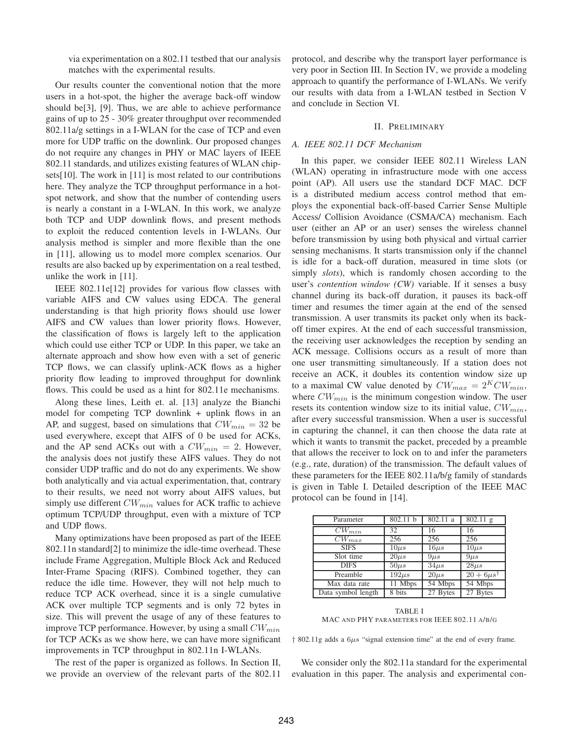via experimentation on a 802.11 testbed that our analysis matches with the experimental results.

Our results counter the conventional notion that the more users in a hot-spot, the higher the average back-off window should be[3], [9]. Thus, we are able to achieve performance gains of up to 25 - 30% greater throughput over recommended 802.11a/g settings in a I-WLAN for the case of TCP and even more for UDP traffic on the downlink. Our proposed changes do not require any changes in PHY or MAC layers of IEEE 802.11 standards, and utilizes existing features of WLAN chipsets[10]. The work in [11] is most related to our contributions here. They analyze the TCP throughput performance in a hotspot network, and show that the number of contending users is nearly a constant in a I-WLAN. In this work, we analyze both TCP and UDP downlink flows, and present methods to exploit the reduced contention levels in I-WLANs. Our analysis method is simpler and more flexible than the one in [11], allowing us to model more complex scenarios. Our results are also backed up by experimentation on a real testbed, unlike the work in [11].

IEEE 802.11e[12] provides for various flow classes with variable AIFS and CW values using EDCA. The general understanding is that high priority flows should use lower AIFS and CW values than lower priority flows. However, the classification of flows is largely left to the application which could use either TCP or UDP. In this paper, we take an alternate approach and show how even with a set of generic TCP flows, we can classify uplink-ACK flows as a higher priority flow leading to improved throughput for downlink flows. This could be used as a hint for 802.11e mechanisms.

Along these lines, Leith et. al. [13] analyze the Bianchi model for competing TCP downlink + uplink flows in an AP, and suggest, based on simulations that  $CW_{min} = 32$  be used everywhere, except that AIFS of 0 be used for ACKs, and the AP send ACKs out with a  $CW_{min} = 2$ . However, the analysis does not justify these AIFS values. They do not consider UDP traffic and do not do any experiments. We show both analytically and via actual experimentation, that, contrary to their results, we need not worry about AIFS values, but simply use different  $CW_{min}$  values for ACK traffic to achieve optimum TCP/UDP throughput, even with a mixture of TCP and UDP flows.

Many optimizations have been proposed as part of the IEEE 802.11n standard[2] to minimize the idle-time overhead. These include Frame Aggregation, Multiple Block Ack and Reduced Inter-Frame Spacing (RIFS). Combined together, they can reduce the idle time. However, they will not help much to reduce TCP ACK overhead, since it is a single cumulative ACK over multiple TCP segments and is only 72 bytes in size. This will prevent the usage of any of these features to improve TCP performance. However, by using a small  $CW_{min}$ for TCP ACKs as we show here, we can have more significant improvements in TCP throughput in 802.11n I-WLANs.

The rest of the paper is organized as follows. In Section II, we provide an overview of the relevant parts of the 802.11 protocol, and describe why the transport layer performance is very poor in Section III. In Section IV, we provide a modeling approach to quantify the performance of I-WLANs. We verify our results with data from a I-WLAN testbed in Section V and conclude in Section VI.

#### II. PRELIMINARY

#### *A. IEEE 802.11 DCF Mechanism*

In this paper, we consider IEEE 802.11 Wireless LAN (WLAN) operating in infrastructure mode with one access point (AP). All users use the standard DCF MAC. DCF is a distributed medium access control method that employs the exponential back-off-based Carrier Sense Multiple Access/ Collision Avoidance (CSMA/CA) mechanism. Each user (either an AP or an user) senses the wireless channel before transmission by using both physical and virtual carrier sensing mechanisms. It starts transmission only if the channel is idle for a back-off duration, measured in time slots (or simply *slots*), which is randomly chosen according to the user's *contention window (CW)* variable. If it senses a busy channel during its back-off duration, it pauses its back-off timer and resumes the timer again at the end of the sensed transmission. A user transmits its packet only when its backoff timer expires. At the end of each successful transmission, the receiving user acknowledges the reception by sending an ACK message. Collisions occurs as a result of more than one user transmitting simultaneously. If a station does not receive an ACK, it doubles its contention window size up to a maximal CW value denoted by  $CW_{max} = 2^K CW_{min}$ , where  $CW_{min}$  is the minimum congestion window. The user resets its contention window size to its initial value,  $CW_{min}$ , after every successful transmission. When a user is successful in capturing the channel, it can then choose the data rate at which it wants to transmit the packet, preceded by a preamble that allows the receiver to lock on to and infer the parameters (e.g., rate, duration) of the transmission. The default values of these parameters for the IEEE 802.11a/b/g family of standards is given in Table I. Detailed description of the IEEE MAC protocol can be found in [14].

| Parameter          | 802.11 b        | 802.11 a              | $802.11$ g            |
|--------------------|-----------------|-----------------------|-----------------------|
| $CW_{min}$         | $\overline{3}2$ | 16                    | 16                    |
| $CW_{max}$         | 256             | 256                   | 256                   |
| <b>SIFS</b>        | $10\mu s$       | $\overline{16} \mu s$ | $\overline{10} \mu s$ |
| Slot time          | $20\mu s$       | $9\mu s$              | $9\mu s$              |
| <b>DIFS</b>        | $50\mu s$       | $34\mu s$             | $28\mu s$             |
| Preamble           | $192\mu s$      | $20\mu s$             | $20+6\mu s^{\dagger}$ |
| Max data rate      | $11$ Mbps       | 54 Mbps               | 54 Mbps               |
| Data symbol length | 8 bits          | 27 Bytes              | 27 Bytes              |

TABLE I MAC AND PHY PARAMETERS FOR IEEE 802.11 A/B/G

 $\frac{1}{2}$  802.11g adds a 6 $\mu$ s "signal extension time" at the end of every frame.

We consider only the 802.11a standard for the experimental evaluation in this paper. The analysis and experimental con-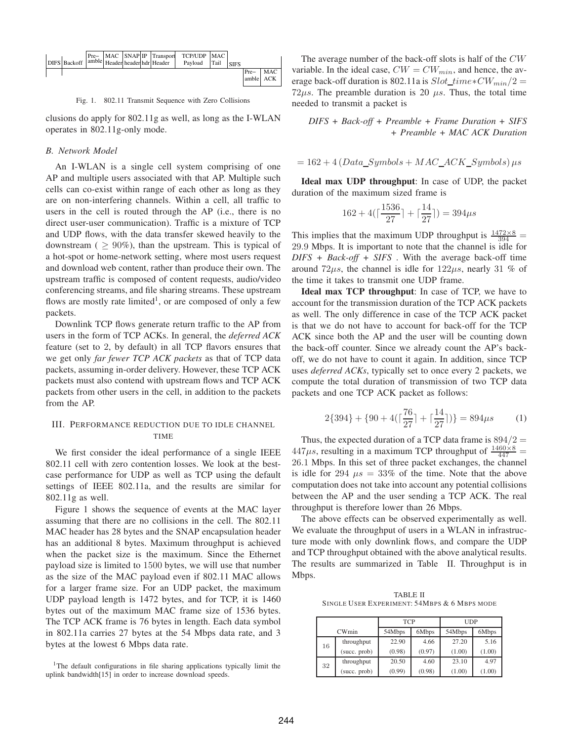

Fig. 1. 802.11 Transmit Sequence with Zero Collisions

clusions do apply for 802.11g as well, as long as the I-WLAN operates in 802.11g-only mode.

#### *B. Network Model*

An I-WLAN is a single cell system comprising of one AP and multiple users associated with that AP. Multiple such cells can co-exist within range of each other as long as they are on non-interfering channels. Within a cell, all traffic to users in the cell is routed through the AP (i.e., there is no direct user-user communication). Traffic is a mixture of TCP and UDP flows, with the data transfer skewed heavily to the downstream ( $\geq 90\%$ ), than the upstream. This is typical of a hot-spot or home-network setting, where most users request and download web content, rather than produce their own. The upstream traffic is composed of content requests, audio/video conferencing streams, and file sharing streams. These upstream flows are mostly rate limited<sup>1</sup>, or are composed of only a few packets.

Downlink TCP flows generate return traffic to the AP from users in the form of TCP ACKs. In general, the *deferred ACK* feature (set to 2, by default) in all TCP flavors ensures that we get only *far fewer TCP ACK packets* as that of TCP data packets, assuming in-order delivery. However, these TCP ACK packets must also contend with upstream flows and TCP ACK packets from other users in the cell, in addition to the packets from the AP.

#### III. PERFORMANCE REDUCTION DUE TO IDLE CHANNEL TIME

We first consider the ideal performance of a single IEEE 802.11 cell with zero contention losses. We look at the bestcase performance for UDP as well as TCP using the default settings of IEEE 802.11a, and the results are similar for 802.11g as well.

Figure 1 shows the sequence of events at the MAC layer assuming that there are no collisions in the cell. The 802.11 MAC header has 28 bytes and the SNAP encapsulation header has an additional 8 bytes. Maximum throughput is achieved when the packet size is the maximum. Since the Ethernet payload size is limited to 1500 bytes, we will use that number as the size of the MAC payload even if 802.11 MAC allows for a larger frame size. For an UDP packet, the maximum UDP payload length is 1472 bytes, and for TCP, it is 1460 bytes out of the maximum MAC frame size of 1536 bytes. The TCP ACK frame is 76 bytes in length. Each data symbol in 802.11a carries 27 bytes at the 54 Mbps data rate, and 3 bytes at the lowest 6 Mbps data rate.

<sup>1</sup>The default configurations in file sharing applications typically limit the uplink bandwidth[15] in order to increase download speeds.

The average number of the back-off slots is half of the CW variable. In the ideal case,  $CW = CW_{min}$ , and hence, the average back-off duration is 802.11a is  $Slot\_time*CW_{min}/2 =$  $72\mu s$ . The preamble duration is 20  $\mu s$ . Thus, the total time needed to transmit a packet is

*DIFS + Back-off + Preamble + Frame Duration + SIFS + Preamble + MAC ACK Duration*

$$
= 162 + 4(Data\_Symbols + MAC\_ACK\_Symbols) \mu s
$$

**Ideal max UDP throughput**: In case of UDP, the packet duration of the maximum sized frame is

$$
162 + 4\left(\lceil \frac{1536}{27} \rceil + \lceil \frac{14}{27} \rceil \right) = 394\mu s
$$

This implies that the maximum UDP throughput is  $\frac{1472 \times 8}{394}$  = 29.9 Mbps. It is important to note that the channel is idle for *DIFS + Back-off + SIFS* . With the average back-off time around  $72\mu s$ , the channel is idle for  $122\mu s$ , nearly 31 % of the time it takes to transmit one UDP frame.

**Ideal max TCP throughput**: In case of TCP, we have to account for the transmission duration of the TCP ACK packets as well. The only difference in case of the TCP ACK packet is that we do not have to account for back-off for the TCP ACK since both the AP and the user will be counting down the back-off counter. Since we already count the AP's backoff, we do not have to count it again. In addition, since TCP uses *deferred ACKs*, typically set to once every 2 packets, we compute the total duration of transmission of two TCP data packets and one TCP ACK packet as follows:

$$
2{394} + {90 + 4(\lceil \frac{76}{27} \rceil + \lceil \frac{14}{27} \rceil)} = 894\mu s \tag{1}
$$

Thus, the expected duration of a TCP data frame is  $894/2 =$  $447\mu s$ , resulting in a maximum TCP throughput of  $\frac{1460\times8}{447}$  = 26.1 Mbps. In this set of three packet exchanges, the channel is idle for 294  $\mu s = 33\%$  of the time. Note that the above computation does not take into account any potential collisions between the AP and the user sending a TCP ACK. The real throughput is therefore lower than 26 Mbps.

The above effects can be observed experimentally as well. We evaluate the throughput of users in a WLAN in infrastructure mode with only downlink flows, and compare the UDP and TCP throughput obtained with the above analytical results. The results are summarized in Table II. Throughput is in Mbps.

TABLE II SINGLE USER EXPERIMENT: 54MBPS & 6 MBPS MODE

|    |              | <b>TCP</b> |        | <b>UDP</b>      |        |
|----|--------------|------------|--------|-----------------|--------|
|    | CWmin        | 54Mbps     | 6Mbps  | 54Mbps<br>6Mbps |        |
| 16 | throughput   | 22.90      | 4.66   | 27.20           | 5.16   |
|    | (succ. prob) | (0.98)     | (0.97) | (1.00)          | (1.00) |
| 32 | throughput   | 20.50      | 4.60   | 23.10           | 4.97   |
|    | (succ. prob) | (0.99)     | (0.98) | (1.00)          | (1.00) |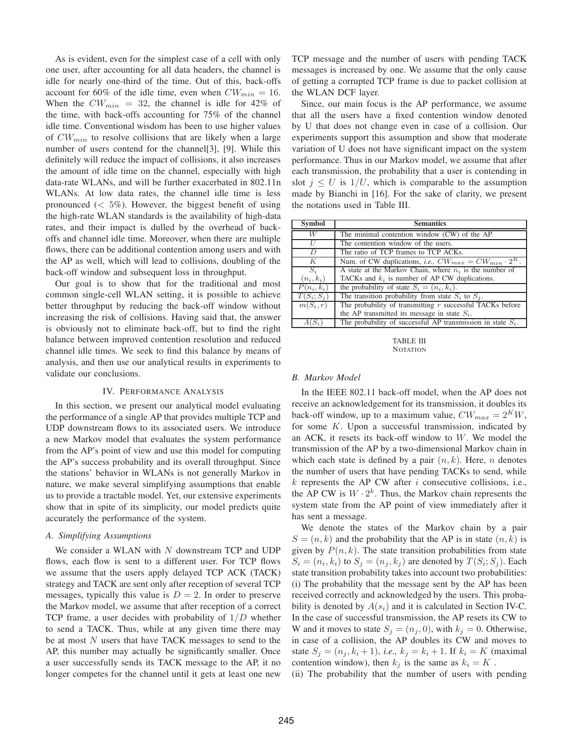As is evident, even for the simplest case of a cell with only one user, after accounting for all data headers, the channel is idle for nearly one-third of the time. Out of this, back-offs account for 60% of the idle time, even when  $CW_{min} = 16$ . When the  $CW_{min}$  = 32, the channel is idle for 42% of the time, with back-offs accounting for 75% of the channel idle time. Conventional wisdom has been to use higher values of  $CW_{min}$  to resolve collisions that are likely when a large number of users contend for the channel[3], [9]. While this definitely will reduce the impact of collisions, it also increases the amount of idle time on the channel, especially with high data-rate WLANs, and will be further exacerbated in 802.11n WLANs. At low data rates, the channel idle time is less pronounced  $(< 5\%)$ . However, the biggest benefit of using the high-rate WLAN standards is the availability of high-data rates, and their impact is dulled by the overhead of backoffs and channel idle time. Moreover, when there are multiple flows, there can be additional contention among users and with the AP as well, which will lead to collisions, doubling of the back-off window and subsequent loss in throughput.

Our goal is to show that for the traditional and most common single-cell WLAN setting, it is possible to achieve better throughput by reducing the back-off window without increasing the risk of collisions. Having said that, the answer is obviously not to eliminate back-off, but to find the right balance between improved contention resolution and reduced channel idle times. We seek to find this balance by means of analysis, and then use our analytical results in experiments to validate our conclusions.

#### IV. PERFORMANCE ANALYSIS

In this section, we present our analytical model evaluating the performance of a single AP that provides multiple TCP and UDP downstream flows to its associated users. We introduce a new Markov model that evaluates the system performance from the AP's point of view and use this model for computing the AP's success probability and its overall throughput. Since the stations' behavior in WLANs is not generally Markov in nature, we make several simplifying assumptions that enable us to provide a tractable model. Yet, our extensive experiments show that in spite of its simplicity, our model predicts quite accurately the performance of the system.

#### *A. Simplifying Assumptions*

We consider a WLAN with  $N$  downstream TCP and UDP flows, each flow is sent to a different user. For TCP flows we assume that the users apply delayed TCP ACK (TACK) strategy and TACK are sent only after reception of several TCP messages, typically this value is  $D = 2$ . In order to preserve the Markov model, we assume that after reception of a correct TCP frame, a user decides with probability of  $1/D$  whether to send a TACK. Thus, while at any given time there may be at most  $N$  users that have TACK messages to send to the AP, this number may actually be significantly smaller. Once a user successfully sends its TACK message to the AP, it no longer competes for the channel until it gets at least one new TCP message and the number of users with pending TACK messages is increased by one. We assume that the only cause of getting a corrupted TCP frame is due to packet collision at the WLAN DCF layer.

Since, our main focus is the AP performance, we assume that all the users have a fixed contention window denoted by U that does not change even in case of a collision. Our experiments support this assumption and show that moderate variation of U does not have significant impact on the system performance. Thus in our Markov model, we assume that after each transmission, the probability that a user is contending in slot  $j \leq U$  is  $1/U$ , which is comparable to the assumption made by Bianchi in [16]. For the sake of clarity, we present the notations used in Table III.

| Symbol                | <b>Semantics</b>                                                           |
|-----------------------|----------------------------------------------------------------------------|
| W                     | The minimal contention window (CW) of the AP.                              |
| $\overline{U}$        | The contention window of the users.                                        |
| $\overline{D}$        | The ratio of TCP frames to TCP ACKs.                                       |
| K                     | Num. of CW duplications, <i>i.e.</i> , $CW_{max} = CW_{min} \cdot 2^{K}$ . |
| $S_i$                 | A state at the Markov Chain, where $n_i$ is the number of                  |
| $(n_i,k_i)$           | TACKs and $k_i$ is number of AP CW duplications.                           |
| $P(n_i,k_i)$          | the probability of state $S_i = (n_i, k_i)$ .                              |
| $T(S_i; S_i)$         | The transition probability from state $S_i$ to $S_i$ .                     |
| $\overline{m(S_i,r)}$ | The probability of transmitting $r$ successful TACKs before                |
|                       | the AP transmitted its message in state $S_i$ .                            |
| $A(S_i)$              | The probability of successful AP transmission in state $S_i$ .             |

TABLE III **NOTATION** 

#### *B. Markov Model*

In the IEEE 802.11 back-off model, when the AP does not receive an acknowledgement for its transmission, it doubles its back-off window, up to a maximum value,  $CW_{max} = 2^KW$ , for some  $K$ . Upon a successful transmission, indicated by an ACK, it resets its back-off window to  $W$ . We model the transmission of the AP by a two-dimensional Markov chain in which each state is defined by a pair  $(n, k)$ . Here, n denotes the number of users that have pending TACKs to send, while  $k$  represents the AP CW after  $i$  consecutive collisions, i.e., the AP CW is  $W \cdot 2^k$ . Thus, the Markov chain represents the system state from the AP point of view immediately after it has sent a message.

We denote the states of the Markov chain by a pair  $S = (n, k)$  and the probability that the AP is in state  $(n, k)$  is given by  $P(n, k)$ . The state transition probabilities from state  $S_i = (n_i, k_i)$  to  $S_j = (n_j, k_j)$  are denoted by  $T(S_i; S_j)$ . Each state transition probability takes into account two probabilities: (i) The probability that the message sent by the AP has been received correctly and acknowledged by the users. This probability is denoted by  $A(s_i)$  and it is calculated in Section IV-C. In the case of successful transmission, the AP resets its CW to W and it moves to state  $S_j = (n_j, 0)$ , with  $k_j = 0$ . Otherwise, in case of a collision, the AP doubles its CW and moves to state  $S_j = (n_j, k_i + 1)$ , *i.e.*,  $k_j = k_i + 1$ . If  $k_i = K$  (maximal contention window), then  $k_j$  is the same as  $k_i = K$ .

(ii) The probability that the number of users with pending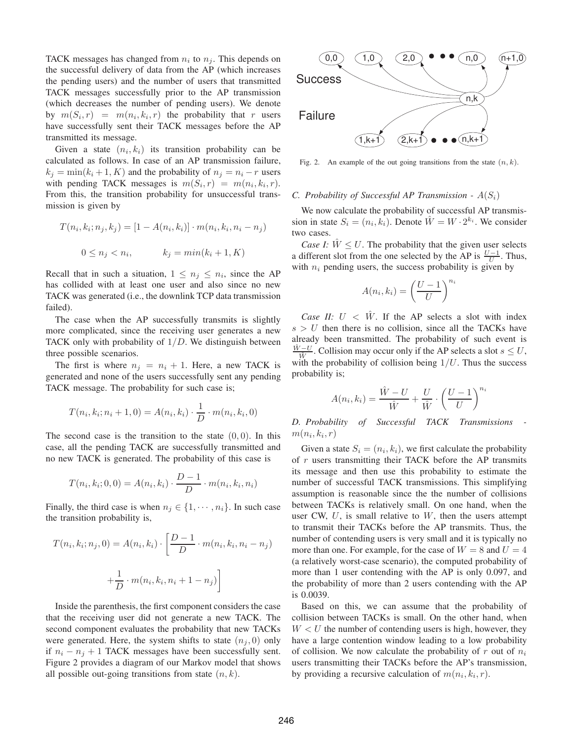TACK messages has changed from  $n_i$  to  $n_j$ . This depends on the successful delivery of data from the AP (which increases the pending users) and the number of users that transmitted TACK messages successfully prior to the AP transmission (which decreases the number of pending users). We denote by  $m(S_i, r) = m(n_i, k_i, r)$  the probability that r users have successfully sent their TACK messages before the AP transmitted its message.

Given a state  $(n_i, k_i)$  its transition probability can be calculated as follows. In case of an AP transmission failure,  $k_i = \min(k_i + 1, K)$  and the probability of  $n_i = n_i - r$  users with pending TACK messages is  $m(S_i, r) = m(n_i, k_i, r)$ . From this, the transition probability for unsuccessful transmission is given by

$$
T(n_i, k_i; n_j, k_j) = [1 - A(n_i, k_i)] \cdot m(n_i, k_i, n_i - n_j)
$$

$$
0 \le n_j < n_i, \qquad k_j = \min(k_i + 1, K)
$$

Recall that in such a situation,  $1 \leq n_j \leq n_i$ , since the AP has collided with at least one user and also since no new TACK was generated (i.e., the downlink TCP data transmission failed).

The case when the AP successfully transmits is slightly more complicated, since the receiving user generates a new TACK only with probability of  $1/D$ . We distinguish between three possible scenarios.

The first is where  $n_i = n_i + 1$ . Here, a new TACK is generated and none of the users successfully sent any pending TACK message. The probability for such case is;

$$
T(n_i, k_i; n_i + 1, 0) = A(n_i, k_i) \cdot \frac{1}{D} \cdot m(n_i, k_i, 0)
$$

The second case is the transition to the state  $(0, 0)$ . In this case, all the pending TACK are successfully transmitted and no new TACK is generated. The probability of this case is

$$
T(n_i, k_i; 0, 0) = A(n_i, k_i) \cdot \frac{D-1}{D} \cdot m(n_i, k_i, n_i)
$$

Finally, the third case is when  $n_j \in \{1, \dots, n_i\}$ . In such case the transition probability is,

$$
T(n_i, k_i; n_j, 0) = A(n_i, k_i) \cdot \left[ \frac{D-1}{D} \cdot m(n_i, k_i, n_i - n_j) + \frac{1}{D} \cdot m(n_i, k_i, n_i + 1 - n_j) \right]
$$

Inside the parenthesis, the first component considers the case that the receiving user did not generate a new TACK. The second component evaluates the probability that new TACKs were generated. Here, the system shifts to state  $(n_i, 0)$  only if  $n_i - n_j + 1$  TACK messages have been successfully sent. Figure 2 provides a diagram of our Markov model that shows all possible out-going transitions from state  $(n, k)$ .



Fig. 2. An example of the out going transitions from the state  $(n, k)$ .

#### *C. Probability of Successful AP Transmission -*  $A(S_i)$

We now calculate the probability of successful AP transmission in state  $S_i = (n_i, k_i)$ . Denote  $\hat{W} = W \cdot 2^{k_i}$ . We consider two cases.

*Case I:*  $W \leq U$ . The probability that the given user selects a different slot from the one selected by the AP is  $\frac{U-1}{U}$ . Thus, with  $n_i$  pending users, the success probability is given by

$$
A(n_i, k_i) = \left(\frac{U-1}{U}\right)^{n_i}
$$

*Case II:*  $U \, \langle \hat{W} \rangle$ . If the AP selects a slot with index  $s > U$  then there is no collision, since all the TACKs have already been transmitted. The probability of such event is  $\hat{W}$ −U  $\frac{y-z}{w}$ . Collision may occur only if the AP selects a slot  $s \leq U$ , with the probability of collision being  $1/U$ . Thus the success probability is;

$$
A(n_i, k_i) = \frac{\hat{W} - U}{\hat{W}} + \frac{U}{\hat{W}} \cdot \left(\frac{U - 1}{U}\right)^{n_i}
$$

*D. Probability of Successful TACK Transmissions*   $m(n_i, k_i, r)$ 

Given a state  $S_i = (n_i, k_i)$ , we first calculate the probability of  $r$  users transmitting their TACK before the AP transmits its message and then use this probability to estimate the number of successful TACK transmissions. This simplifying assumption is reasonable since the the number of collisions between TACKs is relatively small. On one hand, when the user CW,  $U$ , is small relative to  $W$ , then the users attempt to transmit their TACKs before the AP transmits. Thus, the number of contending users is very small and it is typically no more than one. For example, for the case of  $W = 8$  and  $U = 4$ (a relatively worst-case scenario), the computed probability of more than 1 user contending with the AP is only 0.097, and the probability of more than 2 users contending with the AP is 0.0039.

Based on this, we can assume that the probability of collision between TACKs is small. On the other hand, when  $W < U$  the number of contending users is high, however, they have a large contention window leading to a low probability of collision. We now calculate the probability of r out of  $n_i$ users transmitting their TACKs before the AP's transmission, by providing a recursive calculation of  $m(n_i, k_i, r)$ .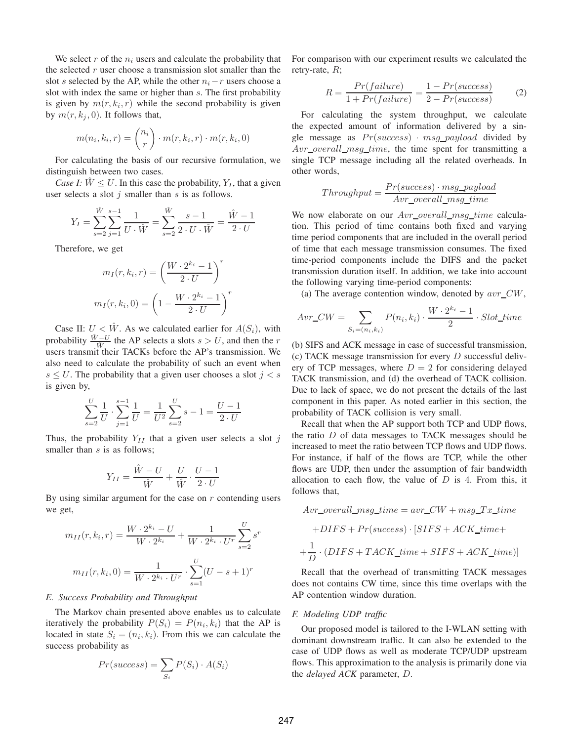We select r of the  $n_i$  users and calculate the probability that the selected  $r$  user choose a transmission slot smaller than the slot s selected by the AP, while the other  $n_i - r$  users choose a slot with index the same or higher than s. The first probability is given by  $m(r, k_i, r)$  while the second probability is given by  $m(r, k_i, 0)$ . It follows that,

$$
m(n_i, k_i, r) = {n_i \choose r} \cdot m(r, k_i, r) \cdot m(r, k_i, 0)
$$

For calculating the basis of our recursive formulation, we distinguish between two cases.

*Case I:*  $\hat{W} \leq U$ . In this case the probability,  $Y_I$ , that a given user selects a slot  $j$  smaller than  $s$  is as follows.

$$
Y_I = \sum_{s=2}^{\hat{W}} \sum_{j=1}^{s-1} \frac{1}{U \cdot \hat{W}} = \sum_{s=2}^{\hat{W}} \frac{s-1}{2 \cdot U \cdot \hat{W}} = \frac{\hat{W} - 1}{2 \cdot U}
$$

Therefore, we get

$$
m_I(r, k_i, r) = \left(\frac{W \cdot 2^{k_i} - 1}{2 \cdot U}\right)^r
$$

$$
m_I(r, k_i, 0) = \left(1 - \frac{W \cdot 2^{k_i} - 1}{2 \cdot U}\right)^r
$$

Case II:  $U \, \leq \, \hat{W}$ . As we calculated earlier for  $A(S_i)$ , with probability  $\frac{\hat{W}-U}{\hat{W}}$  the AP selects a slots  $s > U$ , and then the r users transmit their TACKs before the AP's transmission. We also need to calculate the probability of such an event when  $s \leq U$ . The probability that a given user chooses a slot  $j < s$ is given by,

$$
\sum_{s=2}^{U} \frac{1}{U} \cdot \sum_{j=1}^{s-1} \frac{1}{U} = \frac{1}{U^2} \sum_{s=2}^{U} s - 1 = \frac{U - 1}{2 \cdot U}
$$

Thus, the probability  $Y_{II}$  that a given user selects a slot j smaller than s is as follows:

$$
Y_{II} = \frac{\hat{W} - U}{\hat{W}} + \frac{U}{\hat{W}} \cdot \frac{U - 1}{2 \cdot U}
$$

By using similar argument for the case on  $r$  contending users we get,

$$
m_{II}(r, k_i, r) = \frac{W \cdot 2^{k_i} - U}{W \cdot 2^{k_i}} + \frac{1}{W \cdot 2^{k_i} \cdot U^r} \sum_{s=2}^{U} s^r
$$

$$
m_{II}(r, k_i, 0) = \frac{1}{W \cdot 2^{k_i} \cdot U^r} \cdot \sum_{s=1}^{U} (U - s + 1)^r
$$

#### *E. Success Probability and Throughput*

The Markov chain presented above enables us to calculate iteratively the probability  $P(S_i) = P(n_i, k_i)$  that the AP is located in state  $S_i = (n_i, k_i)$ . From this we can calculate the success probability as

$$
Pr(success) = \sum_{S_i} P(S_i) \cdot A(S_i)
$$

For comparison with our experiment results we calculated the retry-rate,  $R$ ;

$$
R = \frac{Pr(failure)}{1 + Pr(failure)} = \frac{1 - Pr(success)}{2 - Pr(success)}\tag{2}
$$

For calculating the system throughput, we calculate the expected amount of information delivered by a single message as  $Pr(success)$  · msg\_payload divided by  $Avr\_overall\_msg\_time$ , the time spent for transmitting a single TCP message including all the related overheads. In other words,

$$
Throughout = \frac{Pr(success) \cdot msg\_payload}{Avr\_overall\_msg\_time}
$$

We now elaborate on our  $Avr\_overall\_msg\_time$  calculation. This period of time contains both fixed and varying time period components that are included in the overall period of time that each message transmission consumes. The fixed time-period components include the DIFS and the packet transmission duration itself. In addition, we take into account the following varying time-period components:

(a) The average contention window, denoted by  $avr_C$ 

$$
Avr\_CW = \sum_{S_i = (n_i, k_i)} P(n_i, k_i) \cdot \frac{W \cdot 2^{k_i} - 1}{2} \cdot Slot\_time
$$

(b) SIFS and ACK message in case of successful transmission, (c) TACK message transmission for every  $D$  successful delivery of TCP messages, where  $D = 2$  for considering delayed TACK transmission, and (d) the overhead of TACK collision. Due to lack of space, we do not present the details of the last component in this paper. As noted earlier in this section, the probability of TACK collision is very small.

Recall that when the AP support both TCP and UDP flows, the ratio D of data messages to TACK messages should be increased to meet the ratio between TCP flows and UDP flows. For instance, if half of the flows are TCP, while the other flows are UDP, then under the assumption of fair bandwidth allocation to each flow, the value of  $D$  is 4. From this, it follows that,

$$
Avr\_overall\_msg\_time = avr\_CW + msg\_Tx\_time
$$

$$
+DIFS + Pr(success) \cdot [SIFS + ACK\_time +
$$

$$
+ \frac{1}{D} \cdot (DIFS + TACK\_time + SIFS + ACK\_time)]
$$

Recall that the overhead of transmitting TACK messages does not contains CW time, since this time overlaps with the AP contention window duration.

#### *F. Modeling UDP traffic*

Our proposed model is tailored to the I-WLAN setting with dominant downstream traffic. It can also be extended to the case of UDP flows as well as moderate TCP/UDP upstream flows. This approximation to the analysis is primarily done via the *delayed ACK* parameter, D.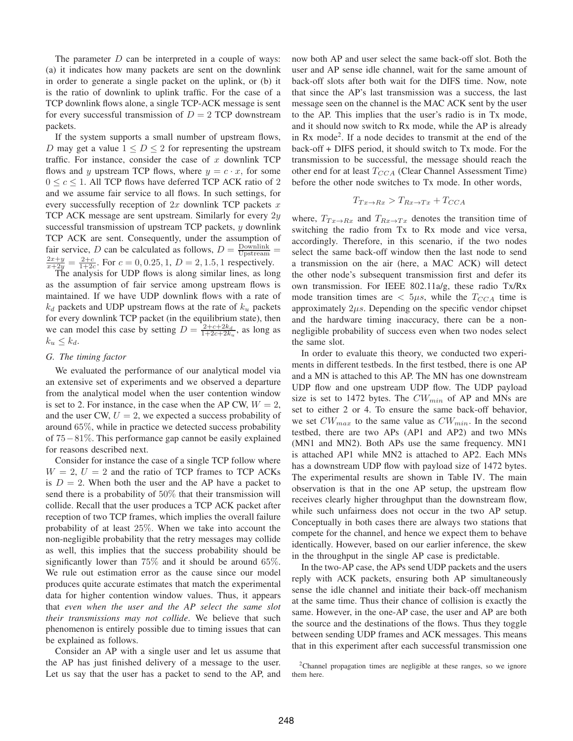The parameter  $D$  can be interpreted in a couple of ways: (a) it indicates how many packets are sent on the downlink in order to generate a single packet on the uplink, or (b) it is the ratio of downlink to uplink traffic. For the case of a TCP downlink flows alone, a single TCP-ACK message is sent for every successful transmission of  $D = 2$  TCP downstream packets.

If the system supports a small number of upstream flows, D may get a value  $1 \leq D \leq 2$  for representing the upstream traffic. For instance, consider the case of  $x$  downlink TCP flows and y upstream TCP flows, where  $y = c \cdot x$ , for some  $0 \leq c \leq 1$ . All TCP flows have deferred TCP ACK ratio of 2 and we assume fair service to all flows. In such settings, for every successfully reception of  $2x$  downlink TCP packets x TCP ACK message are sent upstream. Similarly for every  $2y$ successful transmission of upstream TCP packets,  $y$  downlink TCP ACK are sent. Consequently, under the assumption of fair service, D can be calculated as follows,  $D = \frac{\text{Downlink}}{\text{Upstream}} =$  $\frac{2x+y}{x+2y} = \frac{2+c}{1+2c}$ . For  $c = 0, 0.25, 1, D = 2, 1.5, 1$  respectively.

The analysis for UDP flows is along similar lines, as long as the assumption of fair service among upstream flows is maintained. If we have UDP downlink flows with a rate of  $k_d$  packets and UDP upstream flows at the rate of  $k_u$  packets for every downlink TCP packet (in the equilibrium state), then we can model this case by setting  $D = \frac{2+c+2k_d}{1+2c+2k_u}$ , as long as  $k_u \leq k_d$ .

#### *G. The timing factor*

We evaluated the performance of our analytical model via an extensive set of experiments and we observed a departure from the analytical model when the user contention window is set to 2. For instance, in the case when the AP CW,  $W = 2$ , and the user CW,  $U = 2$ , we expected a success probability of around 65%, while in practice we detected success probability of 75−81%. This performance gap cannot be easily explained for reasons described next.

Consider for instance the case of a single TCP follow where  $W = 2$ ,  $U = 2$  and the ratio of TCP frames to TCP ACKs is  $D = 2$ . When both the user and the AP have a packet to send there is a probability of 50% that their transmission will collide. Recall that the user produces a TCP ACK packet after reception of two TCP frames, which implies the overall failure probability of at least 25%. When we take into account the non-negligible probability that the retry messages may collide as well, this implies that the success probability should be significantly lower than 75% and it should be around 65%. We rule out estimation error as the cause since our model produces quite accurate estimates that match the experimental data for higher contention window values. Thus, it appears that *even when the user and the AP select the same slot their transmissions may not collide*. We believe that such phenomenon is entirely possible due to timing issues that can be explained as follows.

Consider an AP with a single user and let us assume that the AP has just finished delivery of a message to the user. Let us say that the user has a packet to send to the AP, and now both AP and user select the same back-off slot. Both the user and AP sense idle channel, wait for the same amount of back-off slots after both wait for the DIFS time. Now, note that since the AP's last transmission was a success, the last message seen on the channel is the MAC ACK sent by the user to the AP. This implies that the user's radio is in Tx mode, and it should now switch to Rx mode, while the AP is already in Rx mode<sup>2</sup>. If a node decides to transmit at the end of the back-off + DIFS period, it should switch to Tx mode. For the transmission to be successful, the message should reach the other end for at least  $T_{CCA}$  (Clear Channel Assessment Time) before the other node switches to Tx mode. In other words,

$$
T_{Tx \to Rx} > T_{Rx \to Tx} + T_{CCA}
$$

where,  $T_{Tx \to Rx}$  and  $T_{Rx \to Tx}$  denotes the transition time of switching the radio from Tx to Rx mode and vice versa, accordingly. Therefore, in this scenario, if the two nodes select the same back-off window then the last node to send a transmission on the air (here, a MAC ACK) will detect the other node's subsequent transmission first and defer its own transmission. For IEEE 802.11a/g, these radio Tx/Rx mode transition times are  $< 5\mu s$ , while the  $T_{CCA}$  time is approximately  $2\mu s$ . Depending on the specific vendor chipset and the hardware timing inaccuracy, there can be a nonnegligible probability of success even when two nodes select the same slot.

In order to evaluate this theory, we conducted two experiments in different testbeds. In the first testbed, there is one AP and a MN is attached to this AP. The MN has one downstream UDP flow and one upstream UDP flow. The UDP payload size is set to 1472 bytes. The  $CW_{min}$  of AP and MNs are set to either 2 or 4. To ensure the same back-off behavior, we set  $CW_{max}$  to the same value as  $CW_{min}$ . In the second testbed, there are two APs (AP1 and AP2) and two MNs (MN1 and MN2). Both APs use the same frequency. MN1 is attached AP1 while MN2 is attached to AP2. Each MNs has a downstream UDP flow with payload size of 1472 bytes. The experimental results are shown in Table IV. The main observation is that in the one AP setup, the upstream flow receives clearly higher throughput than the downstream flow, while such unfairness does not occur in the two AP setup. Conceptually in both cases there are always two stations that compete for the channel, and hence we expect them to behave identically. However, based on our earlier inference, the skew in the throughput in the single AP case is predictable.

In the two-AP case, the APs send UDP packets and the users reply with ACK packets, ensuring both AP simultaneously sense the idle channel and initiate their back-off mechanism at the same time. Thus their chance of collision is exactly the same. However, in the one-AP case, the user and AP are both the source and the destinations of the flows. Thus they toggle between sending UDP frames and ACK messages. This means that in this experiment after each successful transmission one

<sup>2</sup>Channel propagation times are negligible at these ranges, so we ignore them here.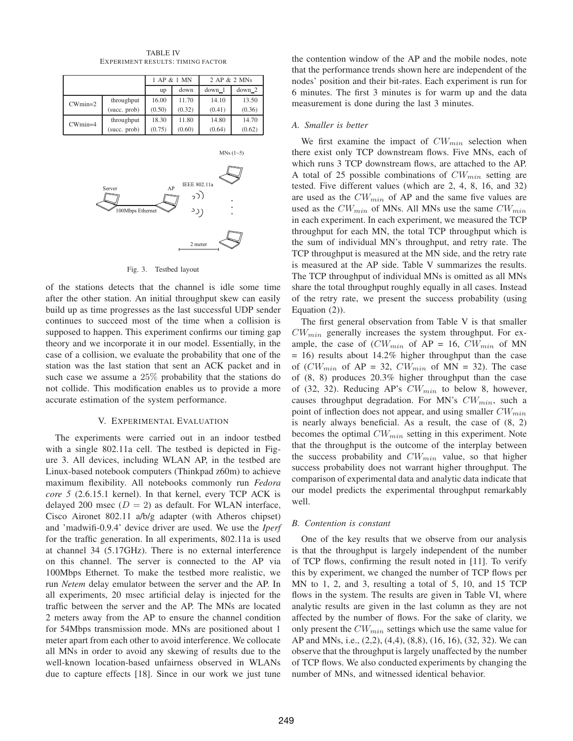|           |              |        | 1 AP & 1 MN | 2 AP & 2 MNs |          |
|-----------|--------------|--------|-------------|--------------|----------|
|           |              | up     | down        | $down_1$     | $down_2$ |
| $CWmin=2$ | throughput   | 16.00  | 11.70       | 14.10        | 13.50    |
|           | (succ. prob) | (0.50) | (0.32)      | (0.41)       | (0.36)   |
| $CWmin=4$ | throughput   | 18.30  | 11.80       | 14.80        | 14.70    |
|           | (succ. prob) | (0.75) | (0.60)      | (0.64)       | (0.62)   |
|           |              |        |             |              |          |
|           |              |        |             |              |          |

TABLE IV EXPERIMENT RESULTS: TIMING FACTOR



Fig. 3. Testbed layout

of the stations detects that the channel is idle some time after the other station. An initial throughput skew can easily build up as time progresses as the last successful UDP sender continues to succeed most of the time when a collision is supposed to happen. This experiment confirms our timing gap theory and we incorporate it in our model. Essentially, in the case of a collision, we evaluate the probability that one of the station was the last station that sent an ACK packet and in such case we assume a 25% probability that the stations do not collide. This modification enables us to provide a more accurate estimation of the system performance.

#### V. EXPERIMENTAL EVALUATION

The experiments were carried out in an indoor testbed with a single 802.11a cell. The testbed is depicted in Figure 3. All devices, including WLAN AP, in the testbed are Linux-based notebook computers (Thinkpad z60m) to achieve maximum flexibility. All notebooks commonly run *Fedora core 5* (2.6.15.1 kernel). In that kernel, every TCP ACK is delayed 200 msec ( $D = 2$ ) as default. For WLAN interface, Cisco Aironet 802.11 a/b/g adapter (with Atheros chipset) and 'madwifi-0.9.4' device driver are used. We use the *Iperf* for the traffic generation. In all experiments, 802.11a is used at channel 34 (5.17GHz). There is no external interference on this channel. The server is connected to the AP via 100Mbps Ethernet. To make the testbed more realistic, we run *Netem* delay emulator between the server and the AP. In all experiments, 20 msec artificial delay is injected for the traffic between the server and the AP. The MNs are located 2 meters away from the AP to ensure the channel condition for 54Mbps transmission mode. MNs are positioned about 1 meter apart from each other to avoid interference. We collocate all MNs in order to avoid any skewing of results due to the well-known location-based unfairness observed in WLANs due to capture effects [18]. Since in our work we just tune

the contention window of the AP and the mobile nodes, note that the performance trends shown here are independent of the nodes' position and their bit-rates. Each experiment is run for 6 minutes. The first 3 minutes is for warm up and the data measurement is done during the last 3 minutes.

#### *A. Smaller is better*

We first examine the impact of  $CW_{min}$  selection when there exist only TCP downstream flows. Five MNs, each of which runs 3 TCP downstream flows, are attached to the AP. A total of 25 possible combinations of  $CW_{min}$  setting are tested. Five different values (which are 2, 4, 8, 16, and 32) are used as the  $CW_{min}$  of AP and the same five values are used as the  $CW_{min}$  of MNs. All MNs use the same  $CW_{min}$ in each experiment. In each experiment, we measured the TCP throughput for each MN, the total TCP throughput which is the sum of individual MN's throughput, and retry rate. The TCP throughput is measured at the MN side, and the retry rate is measured at the AP side. Table V summarizes the results. The TCP throughput of individual MNs is omitted as all MNs share the total throughput roughly equally in all cases. Instead of the retry rate, we present the success probability (using Equation (2)).

The first general observation from Table V is that smaller  $CW_{min}$  generally increases the system throughput. For example, the case of  $(CW_{min}$  of AP = 16,  $CW_{min}$  of MN = 16) results about 14.2% higher throughput than the case of  $(CW_{min}$  of AP = 32,  $CW_{min}$  of MN = 32). The case of (8, 8) produces 20.3% higher throughput than the case of (32, 32). Reducing AP's  $CW_{min}$  to below 8, however, causes throughput degradation. For MN's  $CW_{min}$ , such a point of inflection does not appear, and using smaller  $CW_{min}$ is nearly always beneficial. As a result, the case of (8, 2) becomes the optimal  $CW_{min}$  setting in this experiment. Note that the throughput is the outcome of the interplay between the success probability and  $CW_{min}$  value, so that higher success probability does not warrant higher throughput. The comparison of experimental data and analytic data indicate that our model predicts the experimental throughput remarkably well.

#### *B. Contention is constant*

One of the key results that we observe from our analysis is that the throughput is largely independent of the number of TCP flows, confirming the result noted in [11]. To verify this by experiment, we changed the number of TCP flows per MN to 1, 2, and 3, resulting a total of 5, 10, and 15 TCP flows in the system. The results are given in Table VI, where analytic results are given in the last column as they are not affected by the number of flows. For the sake of clarity, we only present the  $CW_{min}$  settings which use the same value for AP and MNs, i.e., (2,2), (4,4), (8,8), (16, 16), (32, 32). We can observe that the throughput is largely unaffected by the number of TCP flows. We also conducted experiments by changing the number of MNs, and witnessed identical behavior.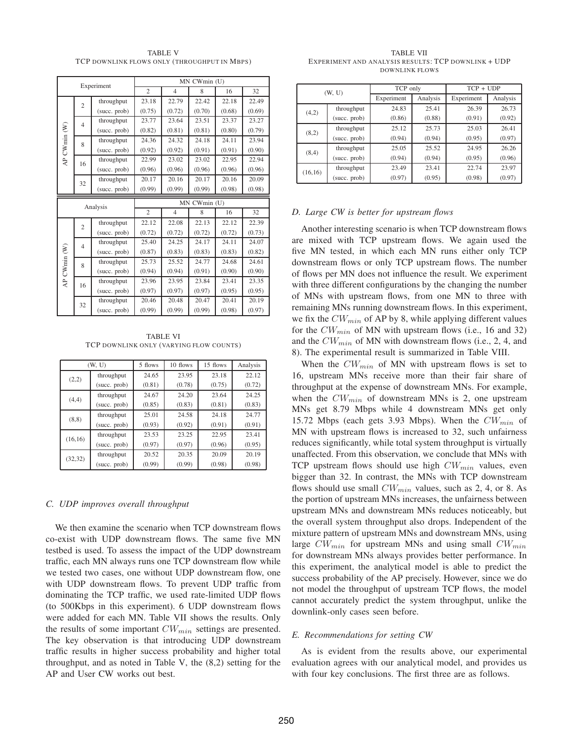TABLE V TCP DOWNLINK FLOWS ONLY (THROUGHPUT IN MBPS)

| Experiment   |                |              |                | MN CWmin (U)   |              |        |        |
|--------------|----------------|--------------|----------------|----------------|--------------|--------|--------|
|              |                |              | $\overline{c}$ | $\overline{4}$ | 8            | 16     | 32     |
|              | $\overline{c}$ | throughput   | 23.18          | 22.79          | 22.42        | 22.18  | 22.49  |
|              |                | (succ. prob) | (0.75)         | (0.72)         | (0.70)       | (0.68) | (0.69) |
|              | $\overline{4}$ | throughput   | 23.77          | 23.64          | 23.51        | 23.37  | 23.27  |
| AP CWmin (W) |                | (succ. prob) | (0.82)         | (0.81)         | (0.81)       | (0.80) | (0.79) |
|              | 8              | throughput   | 24.36          | 24.32          | 24.18        | 24.11  | 23.94  |
|              |                | (succ. prob) | (0.92)         | (0.92)         | (0.91)       | (0.91) | (0.90) |
|              | 16             | throughput   | 22.99          | 23.02          | 23.02        | 22.95  | 22.94  |
|              |                | (succ. prob) | (0.96)         | (0.96)         | (0.96)       | (0.96) | (0.96) |
|              | 32             | throughput   | 20.17          | 20.16          | 20.17        | 20.16  | 20.09  |
|              |                | (succ. prob) | (0.99)         | (0.99)         | (0.99)       | (0.98) | (0.98) |
|              |                |              |                |                |              |        |        |
|              |                |              |                |                | MN CWmin (U) |        |        |
|              |                | Analysis     | $\overline{c}$ | $\overline{4}$ | 8            | 16     | 32     |
|              |                | throughput   | 22.12          | 22.08          | 22.13        | 22.12  | 22.39  |
|              | $\overline{c}$ | (succ. prob) | (0.72)         | (0.72)         | (0.72)       | (0.72) | (0.73) |
|              |                | throughput   | 25.40          | 24.25          | 24.17        | 24.11  | 24.07  |
|              | $\overline{4}$ | (succ. prob) | (0.87)         | (0.83)         | (0.83)       | (0.83) | (0.82) |
|              |                | throughput   | 25.73          | 25.52          | 24.77        | 24.68  | 24.61  |
|              | 8              | (succ. prob) | (0.94)         | (0.94)         | (0.91)       | (0.90) | (0.90) |
|              |                | throughput   | 23.96          | 23.95          | 23.84        | 23.41  | 23.35  |
| AP CWmin (W) | 16             | (succ. prob) | (0.97)         | (0.97)         | (0.97)       | (0.95) | (0.95) |
|              | 32             | throughput   | 20.46          | 20.48          | 20.47        | 20.41  | 20.19  |

TABLE VI TCP DOWNLINK ONLY (VARYING FLOW COUNTS)

|          | (W, U)       | 5 flows | 10 flows | 15 flows | Analysis |
|----------|--------------|---------|----------|----------|----------|
| (2,2)    | throughput   | 24.65   | 23.95    | 23.18    | 22.12    |
|          | (succ. prob) | (0.81)  | (0.78)   | (0.75)   | (0.72)   |
| (4,4)    | throughput   | 24.67   | 24.20    | 23.64    | 24.25    |
|          | (succ. prob) | (0.85)  | (0.83)   | (0.81)   | (0.83)   |
| (8, 8)   | throughput   | 25.01   | 24.58    | 24.18    | 24.77    |
|          | (succ. prob) | (0.93)  | (0.92)   | (0.91)   | (0.91)   |
| (16, 16) | throughput   | 23.53   | 23.25    | 22.95    | 23.41    |
|          | (succ. prob) | (0.97)  | (0.97)   | (0.96)   | (0.95)   |
| (32, 32) | throughput   | 20.52   | 20.35    | 20.09    | 20.19    |
|          | (succ. prob) | (0.99)  | (0.99)   | (0.98)   | (0.98)   |

#### *C. UDP improves overall throughput*

We then examine the scenario when TCP downstream flows co-exist with UDP downstream flows. The same five MN testbed is used. To assess the impact of the UDP downstream traffic, each MN always runs one TCP downstream flow while we tested two cases, one without UDP downstream flow, one with UDP downstream flows. To prevent UDP traffic from dominating the TCP traffic, we used rate-limited UDP flows (to 500Kbps in this experiment). 6 UDP downstream flows were added for each MN. Table VII shows the results. Only the results of some important  $CW_{min}$  settings are presented. The key observation is that introducing UDP downstream traffic results in higher success probability and higher total throughput, and as noted in Table V, the (8,2) setting for the AP and User CW works out best.

TABLE VII EXPERIMENT AND ANALYSIS RESULTS: TCP DOWNLINK + UDP DOWNLINK FLOWS

| (W, U)  |              | TCP only   |          | $TCP + UDP$ |          |  |
|---------|--------------|------------|----------|-------------|----------|--|
|         |              | Experiment | Analysis | Experiment  | Analysis |  |
| (4,2)   | throughput   | 24.83      | 25.41    | 26.39       | 26.73    |  |
|         | (succ. prob) | (0.86)     | (0.88)   | (0.91)      | (0.92)   |  |
| (8,2)   | throughput   | 25.12      | 25.73    | 25.03       | 26.41    |  |
|         | (succ. prob) | (0.94)     | (0.94)   | (0.95)      | (0.97)   |  |
| (8,4)   | throughput   | 25.05      | 25.52    | 24.95       | 26.26    |  |
|         | (succ. prob) | (0.94)     | (0.94)   | (0.95)      | (0.96)   |  |
| (16,16) | throughput   | 23.49      | 23.41    | 22.74       | 23.97    |  |
|         | (succ. prob) | (0.97)     | (0.95)   | (0.98)      | (0.97)   |  |

#### *D. Large CW is better for upstream flows*

Another interesting scenario is when TCP downstream flows are mixed with TCP upstream flows. We again used the five MN tested, in which each MN runs either only TCP downstream flows or only TCP upstream flows. The number of flows per MN does not influence the result. We experiment with three different configurations by the changing the number of MNs with upstream flows, from one MN to three with remaining MNs running downstream flows. In this experiment, we fix the  $CW_{min}$  of AP by 8, while applying different values for the  $CW_{min}$  of MN with upstream flows (i.e., 16 and 32) and the  $CW_{min}$  of MN with downstream flows (i.e., 2, 4, and 8). The experimental result is summarized in Table VIII.

When the  $CW_{min}$  of MN with upstream flows is set to 16, upstream MNs receive more than their fair share of throughput at the expense of downstream MNs. For example, when the  $CW_{min}$  of downstream MNs is 2, one upstream MNs get 8.79 Mbps while 4 downstream MNs get only 15.72 Mbps (each gets 3.93 Mbps). When the  $CW_{min}$  of MN with upstream flows is increased to 32, such unfairness reduces significantly, while total system throughput is virtually unaffected. From this observation, we conclude that MNs with TCP upstream flows should use high  $CW_{min}$  values, even bigger than 32. In contrast, the MNs with TCP downstream flows should use small  $CW_{min}$  values, such as 2, 4, or 8. As the portion of upstream MNs increases, the unfairness between upstream MNs and downstream MNs reduces noticeably, but the overall system throughput also drops. Independent of the mixture pattern of upstream MNs and downstream MNs, using large  $CW_{min}$  for upstream MNs and using small  $CW_{min}$ for downstream MNs always provides better performance. In this experiment, the analytical model is able to predict the success probability of the AP precisely. However, since we do not model the throughput of upstream TCP flows, the model cannot accurately predict the system throughput, unlike the downlink-only cases seen before.

#### *E. Recommendations for setting CW*

As is evident from the results above, our experimental evaluation agrees with our analytical model, and provides us with four key conclusions. The first three are as follows.